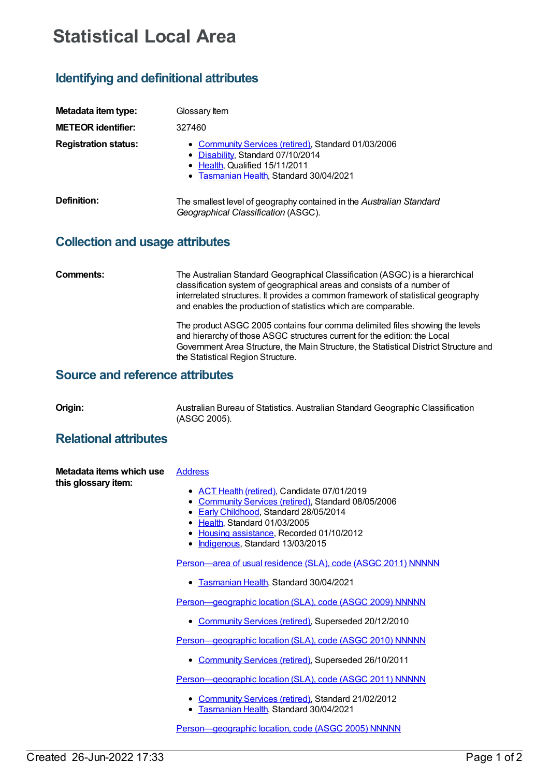# **Statistical Local Area**

## **Identifying and definitional attributes**

| Metadata item type:         | Glossary Item                                                                                                                                                         |
|-----------------------------|-----------------------------------------------------------------------------------------------------------------------------------------------------------------------|
| <b>METEOR identifier:</b>   | 327460                                                                                                                                                                |
| <b>Registration status:</b> | • Community Services (retired), Standard 01/03/2006<br>• Disability, Standard 07/10/2014<br>• Health, Qualified 15/11/2011<br>• Tasmanian Health, Standard 30/04/2021 |
| Definition:                 | The smallest level of geography contained in the Australian Standard<br>Geographical Classification (ASGC).                                                           |

### **Collection and usage attributes**

**Comments:** The Australian Standard Geographical Classification (ASGC) is a hierarchical classification system of geographical areas and consists of a number of interrelated structures. It provides a common framework of statistical geography and enables the production of statistics which are comparable.

> The product ASGC 2005 contains four comma delimited files showing the levels and hierarchy of those ASGC structures current for the edition: the Local Government Area Structure, the Main Structure, the Statistical District Structure and the Statistical Region Structure.

#### **Source and reference attributes**

**Origin:** Australian Bureau of Statistics. Australian Standard Geographic Classification (ASGC 2005).

#### **Relational attributes**

| Metadata items which use | <b>Address</b> |
|--------------------------|----------------|
| this glossary item:      |                |

- ACT Health [\(retired\)](https://meteor.aihw.gov.au/RegistrationAuthority/9), Candidate 07/01/2019
- [Community](https://meteor.aihw.gov.au/RegistrationAuthority/1) Services (retired), Standard 08/05/2006
- Early [Childhood](https://meteor.aihw.gov.au/RegistrationAuthority/13), Standard 28/05/2014
- [Health](https://meteor.aihw.gov.au/RegistrationAuthority/12), Standard 01/03/2005
- Housing [assistance](https://meteor.aihw.gov.au/RegistrationAuthority/11), Recorded 01/10/2012
- [Indigenous](https://meteor.aihw.gov.au/RegistrationAuthority/6), Standard 13/03/2015

[Person—area](https://meteor.aihw.gov.au/content/743423) of usual residence (SLA), code (ASGC 2011) NNNNN

[Tasmanian](https://meteor.aihw.gov.au/RegistrationAuthority/15) Health, Standard 30/04/2021

Person-geographic location (SLA), code (ASGC 2009) NNNNN

[Community](https://meteor.aihw.gov.au/RegistrationAuthority/1) Services (retired), Superseded 20/12/2010

Person-geographic location (SLA), code (ASGC 2010) NNNNN

• [Community](https://meteor.aihw.gov.au/RegistrationAuthority/1) Services (retired), Superseded 26/10/2011

Person-geographic location (SLA), code (ASGC 2011) NNNNN

- [Community](https://meteor.aihw.gov.au/RegistrationAuthority/1) Services (retired), Standard 21/02/2012
- **[Tasmanian](https://meteor.aihw.gov.au/RegistrationAuthority/15) Health, Standard 30/04/2021**

Person-geographic location, code (ASGC 2005) NNNNN